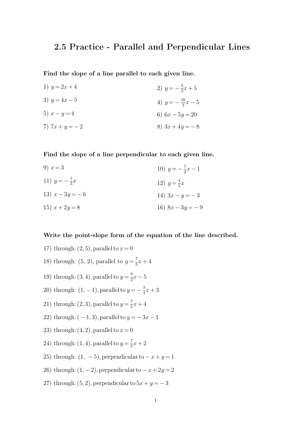## **2.5 Practice - Parallel and Perpendicular Lines**

**Find the slope of a line parallel to each given line.**

1)  $y = 2x + 4$ 3)  $y = 4x - 5$ 5)  $x - y = 4$ 7)  $7x + y = -2$ 2)  $y = -\frac{2}{3}$  $rac{2}{3}x + 5$ 4)  $y = -\frac{10}{3}$  $\frac{10}{3}x-5$ 6)  $6x - 5y = 20$ 8)  $3x + 4y = -8$ 

**Find the slope of a line perpendicular to each given line.**

9)  $x = 3$ 11)  $y = -\frac{1}{3}$  $rac{1}{3}x$ 13)  $x - 3y = -6$ 15)  $x + 2y = 8$ 10)  $y = -\frac{1}{2}$  $\frac{1}{2}x-1$ 12)  $y = \frac{4}{5}$  $rac{4}{5}x$ 14)  $3x - y = -3$ 16)  $8x - 3y = -9$ 

## **Write the point-slope form of the equation of the line described.**

- 17) through:  $(2, 5)$ , parallel to  $x = 0$
- 18) through: (5, 2), parallel to  $y = \frac{7}{5}$  $\frac{1}{5}x + 4$
- 19) through: (3, 4), parallel to  $y=\frac{9}{2}$  $\frac{9}{2}x-5$
- 20) through:  $(1, -1)$ , parallel to  $y = -\frac{3}{4}$  $\frac{3}{4}x + 3$
- 21) through: (2, 3), parallel to  $y = \frac{7}{5}$  $\frac{1}{5}x + 4$
- 22) through:  $(-1, 3)$ , parallel to  $y = -3x 1$
- 23) through:  $(4, 2)$ , parallel to  $x = 0$
- 24) through: (1, 4), parallel to  $y = \frac{7}{5}$  $rac{1}{5}x + 2$
- 25) through:  $(1, -5)$ , perpendicular to  $-x+y=1$
- 26) through:  $(1, -2)$ , perpendicular to  $-x+2y=2$
- 27) through:  $(5, 2)$ , perpendicular to  $5x + y = -3$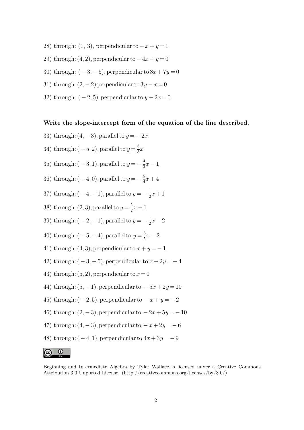- 28) through:  $(1, 3)$ , perpendicular to  $-x+y=1$
- 29) through:  $(4, 2)$ , perpendicular to  $-4x + y = 0$
- 30) through:  $(-3, -5)$ , perpendicular to  $3x + 7y = 0$
- 31) through:  $(2, -2)$  perpendicular to  $3y x = 0$
- 32) through:  $(-2, 5)$ . perpendicular to  $y 2x = 0$

## **Write the slope-intercept form of the equation of the line described.**

33) through:  $(4, -3)$ , parallel to  $y = -2x$ 34) through:  $(-5, 2)$ , parallel to  $y = \frac{3}{5}$  $\frac{5}{5}x$ 35) through:  $(-3, 1)$ , parallel to  $y = -\frac{4}{3}$  $\frac{4}{3}x-1$ 36) through:  $(-4,0)$ , parallel to  $y=-\frac{5}{4}$  $\frac{5}{4}x + 4$ 37) through:  $(-4, -1)$ , parallel to  $y = -\frac{1}{2}$  $rac{1}{2}x + 1$ 38) through:  $(2, 3)$ , parallel to  $y = \frac{5}{2}$  $\frac{5}{2}x-1$ 39) through:  $(-2, -1)$ , parallel to  $y = -\frac{1}{2}$  $rac{1}{2}x-2$ 40) through:  $(-5, -4)$ , parallel to  $y = \frac{3}{5}$  $\frac{3}{5}x-2$ 41) through:  $(4, 3)$ , perpendicular to  $x + y = -1$ 42) through:  $(-3, -5)$ , perpendicular to  $x + 2y = -4$ 43) through:  $(5, 2)$ , perpendicular to  $x = 0$ 44) through:  $(5, -1)$ , perpendicular to  $-5x + 2y = 10$ 45) through:  $(-2, 5)$ , perpendicular to  $-x+y=-2$ 46) through:  $(2, -3)$ , perpendicular to  $-2x + 5y = -10$ 47) through:  $(4, -3)$ , perpendicular to  $-x+2y = -6$ 48) through:  $(-4, 1)$ , perpendicular to  $4x + 3y = -9$ 



Beginning and Intermediate Algebra by Tyler Wallace is licensed under a Creative Commons Attribution 3.0 Unported License. (http://creativecommons.org/licenses/by/3.0/)